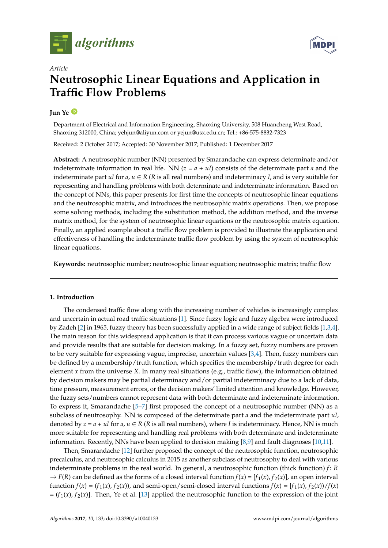



# *Article* **Neutrosophic Linear Equations and Application in Traffic Flow Problems**

# **Jun Ye [ID](https://orcid.org/0000-0003-2841-6529)**

Department of Electrical and Information Engineering, Shaoxing University, 508 Huancheng West Road, Shaoxing 312000, China; yehjun@aliyun.com or yejun@usx.edu.cn; Tel.: +86-575-8832-7323

Received: 2 October 2017; Accepted: 30 November 2017; Published: 1 December 2017

**Abstract:** A neutrosophic number (NN) presented by Smarandache can express determinate and/or indeterminate information in real life. NN  $(z = a + uI)$  consists of the determinate part *a* and the indeterminate part *uI* for *a*,  $u \in R$  (*R* is all real numbers) and indeterminacy *I*, and is very suitable for representing and handling problems with both determinate and indeterminate information. Based on the concept of NNs, this paper presents for first time the concepts of neutrosophic linear equations and the neutrosophic matrix, and introduces the neutrosophic matrix operations. Then, we propose some solving methods, including the substitution method, the addition method, and the inverse matrix method, for the system of neutrosophic linear equations or the neutrosophic matrix equation. Finally, an applied example about a traffic flow problem is provided to illustrate the application and effectiveness of handling the indeterminate traffic flow problem by using the system of neutrosophic linear equations.

**Keywords:** neutrosophic number; neutrosophic linear equation; neutrosophic matrix; traffic flow

## **1. Introduction**

The condensed traffic flow along with the increasing number of vehicles is increasingly complex and uncertain in actual road traffic situations [\[1\]](#page-8-0). Since fuzzy logic and fuzzy algebra were introduced by Zadeh [\[2\]](#page-8-1) in 1965, fuzzy theory has been successfully applied in a wide range of subject fields [\[1](#page-8-0)[,3](#page-8-2)[,4\]](#page-8-3). The main reason for this widespread application is that it can process various vague or uncertain data and provide results that are suitable for decision making. In a fuzzy set, fuzzy numbers are proven to be very suitable for expressing vague, imprecise, uncertain values [\[3](#page-8-2)[,4\]](#page-8-3). Then, fuzzy numbers can be defined by a membership/truth function, which specifies the membership/truth degree for each element *x* from the universe *X*. In many real situations (e.g., traffic flow), the information obtained by decision makers may be partial determinacy and/or partial indeterminacy due to a lack of data, time pressure, measurement errors, or the decision makers' limited attention and knowledge. However, the fuzzy sets/numbers cannot represent data with both determinate and indeterminate information. To express it, Smarandache [\[5](#page-9-0)[–7\]](#page-9-1) first proposed the concept of a neutrosophic number (NN) as a subclass of neutrosophy. NN is composed of the determinate part *a* and the indeterminate part *uI*, denoted by  $z = a + uI$  for  $a, u \in R$  (*R* is all real numbers), where *I* is indeterminacy. Hence, NN is much more suitable for representing and handling real problems with both determinate and indeterminate information. Recently, NNs have been applied to decision making [\[8,](#page-9-2)[9\]](#page-9-3) and fault diagnoses [\[10](#page-9-4)[,11\]](#page-9-5).

Then, Smarandache [\[12\]](#page-9-6) further proposed the concept of the neutrosophic function, neutrosophic precalculus, and neutrosophic calculus in 2015 as another subclass of neutrosophy to deal with various indeterminate problems in the real world. In general, a neutrosophic function (thick function) *f*: *R*  $\rightarrow$  *F*(*R*) can be defined as the forms of a closed interval function  $f(x) = [f_1(x), f_2(x)]$ , an open interval function  $f(x) = (f_1(x), f_2(x))$ , and semi-open/semi-closed interval functions  $f(x) = [f_1(x), f_2(x))/f(x)$  $= (f_1(x), f_2(x)]$ . Then, Ye et al. [\[13\]](#page-9-7) applied the neutrosophic function to the expression of the joint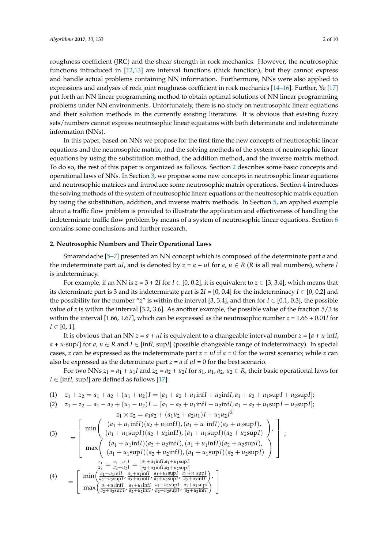roughness coefficient (JRC) and the shear strength in rock mechanics. However, the neutrosophic functions introduced in [\[12,](#page-9-6)[13\]](#page-9-7) are interval functions (thick function), but they cannot express and handle actual problems containing NN information. Furthermore, NNs were also applied to expressions and analyses of rock joint roughness coefficient in rock mechanics [\[14–](#page-9-8)[16\]](#page-9-9). Further, Ye [\[17\]](#page-9-10) put forth an NN linear programming method to obtain optimal solutions of NN linear programming problems under NN environments. Unfortunately, there is no study on neutrosophic linear equations and their solution methods in the currently existing literature. It is obvious that existing fuzzy sets/numbers cannot express neutrosophic linear equations with both determinate and indeterminate information (NNs).

In this paper, based on NNs we propose for the first time the new concepts of neutrosophic linear equations and the neutrosophic matrix, and the solving methods of the system of neutrosophic linear equations by using the substitution method, the addition method, and the inverse matrix method. To do so, the rest of this paper is organized as follows. Section [2](#page-1-0) describes some basic concepts and operational laws of NNs. In Section [3,](#page-2-0) we propose some new concepts in neutrosophic linear equations and neutrosophic matrices and introduce some neutrosophic matrix operations. Section [4](#page-3-0) introduces the solving methods of the system of neutrosophic linear equations or the neutrosophic matrix equation by using the substitution, addition, and inverse matrix methods. In Section [5,](#page-6-0) an applied example about a traffic flow problem is provided to illustrate the application and effectiveness of handling the indeterminate traffic flow problem by means of a system of neutrosophic linear equations. Section [6](#page-8-4) contains some conclusions and further research.

#### <span id="page-1-0"></span>**2. Neutrosophic Numbers and Their Operational Laws**

Smarandache [\[5](#page-9-0)[–7\]](#page-9-1) presented an NN concept which is composed of the determinate part *a* and the indeterminate part *uI*, and is denoted by  $z = a + uI$  for  $a, u \in R$  (*R* is all real numbers), where *I* is indeterminacy.

For example, if an NN is  $z = 3 + 2I$  for  $I \in [0, 0.2]$ , it is equivalent to  $z \in [3, 3.4]$ , which means that its determinate part is 3 and its indeterminate part is  $2*I* = [0, 0.4]$  for the indeterminacy  *and* the possibility for the number "*z*" is within the interval [3, 3.4], and then for  $I \in [0.1, 0.3]$ , the possible value of *z* is within the interval [3.2, 3.6]. As another example, the possible value of the fraction 5/3 is within the interval [1.66, 1.67], which can be expressed as the neutrosophic number *z* = 1.66 + 0.01*I* for  $I \in [0, 1].$ 

It is obvious that an NN  $z = a + uI$  is equivalent to a changeable interval number  $z = [a + u \cdot \text{inf}I]$ , *a* + *u*·sup*I*] for *a*, *u* ∈ *R* and *I* ∈ [inf*I,* sup*I*] (possible changeable range of indeterminacy)*.* In special cases, *z* can be expressed as the indeterminate part  $z = uI$  if  $a = 0$  for the worst scenario; while *z* can also be expressed as the determinate part  $z = a$  if  $uI = 0$  for the best scenario.

For two NNs  $z_1 = a_1 + u_1 I$  and  $z_2 = a_2 + u_2 I$  for  $a_1, u_1, a_2, u_2 \in R$ , their basic operational laws for *I* ∈ [inf*I,* sup*I*] are defined as follows [\[17\]](#page-9-10):

$$
(1) \quad z_1 + z_2 = a_1 + a_2 + (u_1 + u_2)I = [a_1 + a_2 + u_1 \text{inf} I + u_2 \text{inf} I, a_1 + a_2 + u_1 \text{sup} I + u_2 \text{sup} I];
$$

(2) 
$$
z_1 - z_2 = a_1 - a_2 + (u_1 - u_2)I = [a_1 - a_2 + u_1 \text{inf}I - u_2 \text{inf}I, a_1 - a_2 + u_1 \text{sup}I - u_2 \text{sup}I];
$$

$$
z_1 \times z_2 = a_1 a_2 + (a_1 u_2 + a_2 u_1)I + u_1 u_2 I^2
$$
\n(3)\n
$$
= \begin{bmatrix}\n\min \left( \frac{(a_1 + u_1 \inf I)(a_2 + u_2 \inf I), (a_1 + u_1 \inf I)(a_2 + u_2 \sup I), (a_1 + u_1 \sup I)(a_2 + u_2 \sup I), (a_1 + u_1 \sup I)(a_2 + u_2 \sup I), (a_1 + u_1 \sup I)(a_2 + u_2 \sup I), (a_1 + u_1 \inf I)(a_2 + u_2 \sup I), (a_1 + u_1 \inf I)(a_2 + u_2 \sup I), \\
\max \left( \frac{(a_1 + u_1 \sup I)(a_2 + u_2 \inf I), (a_1 + u_1 \sup I)(a_2 + u_2 \sup I), (a_1 + u_1 \sup I)(a_2 + u_2 \sup I), (a_1 + u_1 \sup I)(a_2 + u_2 \sup I), (a_1 + u_1 \sup I)(a_2 + u_2 \sup I), (a_1 + u_1 \sup I)(a_2 + u_2 \sup I), (a_1 + u_1 \sup I)(a_2 + u_2 \sup I), (a_1 + u_1 \sup I)(a_2 + u_2 \sup I), (a_1 + u_1 \sup I)(a_2 + u_2 \sup I), (a_1 + u_1 \sup I)(a_2 + u_2 \sup I), (a_1 + u_1 \sup I)(a_2 + u_2 \sup I), (a_1 + u_1 \sup I)(a_2 + u_2 \sup I), (a_1 + u_1 \sup I)(a_2 + u_2 \sup I), (a_1 + u_1 \sup I)(a_2 + u_2 \sup I), (a_1 + u_1 \sup I)(a_2 + u_2 \sup I), (a_1 + u_1 \sup I)(a_2 + u_2 \sup I), (a_1 + u_1 \sup I)(a_2 + u_2 \sup I), (a_1 + u_1 \sup I)(a_2 + u_2 \sup I)(a_2 + u_2 \sup I), (a_1 + u_1 \sup I)(a_2 + u_2 \sup I), (a_1 + u_1 \sup I)(a_2 + u_2 \sup I), (a_1 + u_1 \sup I)(a_2 + u_2 \sup I), (a_1 + u_1 \sup I)(a_2 + u_2 \sup I), (a
$$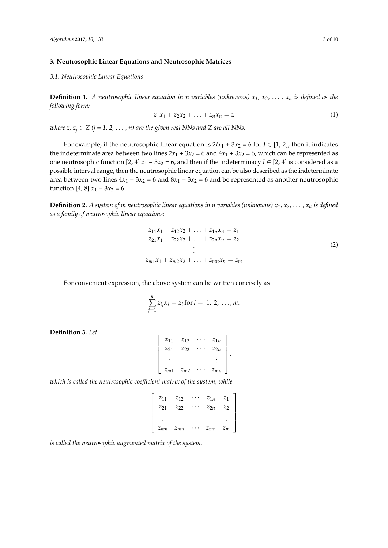## <span id="page-2-0"></span>**3. Neutrosophic Linear Equations and Neutrosophic Matrices**

*3.1. Neutrosophic Linear Equations*

**Definition 1.** A neutrosophic linear equation in n variables (unknowns)  $x_1, x_2, \ldots, x_n$  is defined as the *following form:*

$$
z_1 x_1 + z_2 x_2 + \ldots + z_n x_n = z \tag{1}
$$

*where z,*  $z_j \in Z$  *(j = 1, 2, ..., n) are the given real NNs and Z are all NNs.* 

For example, if the neutrosophic linear equation is  $2Ix_1 + 3x_2 = 6$  for  $I \in [1, 2]$ , then it indicates the indeterminate area between two lines  $2x_1 + 3x_2 = 6$  and  $4x_1 + 3x_2 = 6$ , which can be represented as one neutrosophic function [2, 4]  $x_1 + 3x_2 = 6$ , and then if the indeterminacy  $I \in [2, 4]$  is considered as a possible interval range, then the neutrosophic linear equation can be also described as the indeterminate area between two lines  $4x_1 + 3x_2 = 6$  and  $8x_1 + 3x_2 = 6$  and be represented as another neutrosophic function [4, 8]  $x_1 + 3x_2 = 6$ .

**Definition 2.** A system of m neutrosophic linear equations in n variables (unknowns)  $x_1, x_2, \ldots, x_n$  is defined *as a family of neutrosophic linear equations:*

$$
z_{11}x_1 + z_{12}x_2 + \dots + z_{1n}x_n = z_1
$$
  
\n
$$
z_{21}x_1 + z_{22}x_2 + \dots + z_{2n}x_n = z_2
$$
  
\n
$$
\vdots
$$
  
\n
$$
z_{m1}x_1 + z_{m2}x_2 + \dots + z_{mn}x_n = z_m
$$
  
\n(2)

For convenient expression, the above system can be written concisely as

$$
\sum_{j=1}^n z_{ij} x_j = z_i \text{ for } i = 1, 2, ..., m.
$$

**Definition 3.** *Let*

| $z_{11}$ | $z_{12}$ | $z_{1n}$ |  |
|----------|----------|----------|--|
| $z_{21}$ | $Z_{22}$ | $z_{2n}$ |  |
|          |          |          |  |
| $z_{m1}$ | $z_{m2}$ | $z_{mn}$ |  |

*which is called the neutrosophic coefficient matrix of the system, while*

| $Z_{11}$ | $z_{12}$ | $z_{1n}$ | $z_{1}$ |
|----------|----------|----------|---------|
| $Z_{21}$ | $z_{22}$ | $z_{2n}$ | Z7      |
|          |          |          |         |
| $z_{mn}$ | $z_{mn}$ | $z_{mn}$ | $z_m$   |

*is called the neutrosophic augmented matrix of the system.*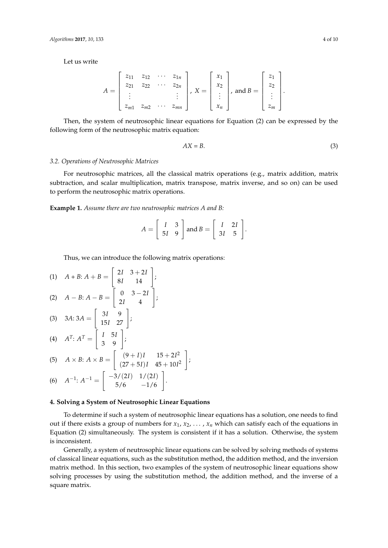Let us write

$$
A = \begin{bmatrix} z_{11} & z_{12} & \cdots & z_{1n} \\ z_{21} & z_{22} & \cdots & z_{2n} \\ \vdots & & & \vdots \\ z_{m1} & z_{m2} & \cdots & z_{mn} \end{bmatrix}, X = \begin{bmatrix} x_1 \\ x_2 \\ \vdots \\ x_n \end{bmatrix}, \text{ and } B = \begin{bmatrix} z_1 \\ z_2 \\ \vdots \\ z_m \end{bmatrix}
$$

Then, the system of neutrosophic linear equations for Equation (2) can be expressed by the following form of the neutrosophic matrix equation:

$$
AX = B.\t\t(3)
$$

.

## *3.2. Operations of Neutrosophic Matrices*

For neutrosophic matrices, all the classical matrix operations (e.g., matrix addition, matrix subtraction, and scalar multiplication, matrix transpose, matrix inverse, and so on) can be used to perform the neutrosophic matrix operations.

**Example 1.** *Assume there are two neutrosophic matrices A and B:*

$$
A = \left[ \begin{array}{cc} I & 3 \\ 5I & 9 \end{array} \right] \text{ and } B = \left[ \begin{array}{cc} I & 2I \\ 3I & 5 \end{array} \right].
$$

Thus, we can introduce the following matrix operations:

(1) 
$$
A + B: A + B = \begin{bmatrix} 2I & 3+2I \\ 8I & 14 \end{bmatrix};
$$
  
\n(2)  $A - B: A - B = \begin{bmatrix} 0 & 3-2I \\ 2I & 4 \end{bmatrix};$   
\n(3)  $3A: 3A = \begin{bmatrix} 3I & 9 \\ 15I & 27 \end{bmatrix};$   
\n(4)  $A^T: A^T = \begin{bmatrix} I & 5I \\ 3 & 9 \end{bmatrix};$   
\n(5)  $A \times B: A \times B = \begin{bmatrix} (9+I)I & 15+2I^2 \\ (27+5I)I & 45+10I^2 \end{bmatrix}$   
\n(6)  $A^{-1}: A^{-1} = \begin{bmatrix} -3/(2I) & 1/(2I) \\ 5/6 & -1/6 \end{bmatrix}.$ 

$$
\begin{bmatrix} 5/6 & -1/6 \end{bmatrix}
$$

# <span id="page-3-0"></span>**4. Solving a System of Neutrosophic Linear Equations**

To determine if such a system of neutrosophic linear equations has a solution, one needs to find out if there exists a group of numbers for  $x_1, x_2, \ldots, x_n$  which can satisfy each of the equations in Equation (2) simultaneously. The system is consistent if it has a solution. Otherwise, the system is inconsistent.

1 ;

Generally, a system of neutrosophic linear equations can be solved by solving methods of systems of classical linear equations, such as the substitution method, the addition method, and the inversion matrix method. In this section, two examples of the system of neutrosophic linear equations show solving processes by using the substitution method, the addition method, and the inverse of a square matrix.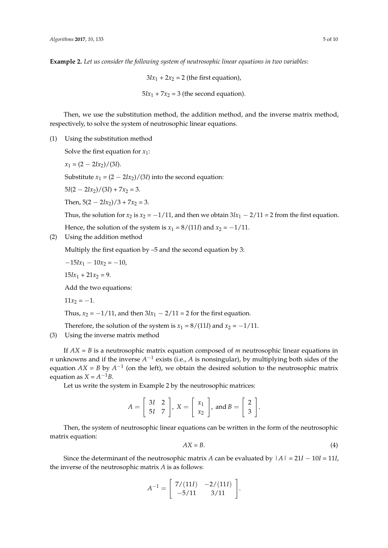**Example 2.** *Let us consider the following system of neutrosophic linear equations in two variables:*

 $3Ix_1 + 2x_2 = 2$  (the first equation),  $5Ix_1 + 7x_2 = 3$  (the second equation).

Then, we use the substitution method, the addition method, and the inverse matrix method, respectively, to solve the system of neutrosophic linear equations.

(1) Using the substitution method

Solve the first equation for  $x_1$ :

$$
x_1 = (2 - 2Ix_2)/(3I)
$$

Substitute  $x_1 = (2 - 2Ix_2)/(3I)$  into the second equation:

 $5I(2 - 2Ix_2)/(3I) + 7x_2 = 3.$ 

Then,  $5(2 - 2Ix_2)/3 + 7x_2 = 3$ .

Thus, the solution for  $x_2$  is  $x_2 = -1/11$ , and then we obtain  $3Ix_1 - 2/11 = 2$  from the first equation.

Hence, the solution of the system is  $x_1 = 8/(11I)$  and  $x_2 = -1/11$ .

(2) Using the addition method

Multiply the first equation by –5 and the second equation by 3:

 $-15Ix_1 - 10x_2 = -10$ 

 $15Ix_1 + 21x_2 = 9.$ 

Add the two equations:

 $11x_2 = -1.$ 

Thus,  $x_2 = -1/11$ , and then  $3Ix_1 - 2/11 = 2$  for the first equation.

Therefore, the solution of the system is  $x_1 = 8/(111)$  and  $x_2 = -1/11$ .

(3) Using the inverse matrix method

If *AX* = *B* is a neutrosophic matrix equation composed of *m* neutrosophic linear equations in *n* unknowns and if the inverse *A*<sup>-1</sup> exists (i.e., *A* is nonsingular), by multiplying both sides of the equation  $AX = B$  by  $A^{-1}$  (on the left), we obtain the desired solution to the neutrosophic matrix equation as  $X = A^{-1}B$ .

Let us write the system in Example 2 by the neutrosophic matrices:

$$
A = \left[\begin{array}{cc} 3I & 2 \\ 5I & 7 \end{array}\right], X = \left[\begin{array}{c} x_1 \\ x_2 \end{array}\right], \text{ and } B = \left[\begin{array}{c} 2 \\ 3 \end{array}\right].
$$

Then, the system of neutrosophic linear equations can be written in the form of the neutrosophic matrix equation:

$$
AX = B.\t\t(4)
$$

Since the determinant of the neutrosophic matrix *A* can be evaluated by  $|A| = 21I - 10I = 11I$ , the inverse of the neutrosophic matrix *A* is as follows:

$$
A^{-1} = \begin{bmatrix} 7/(11I) & -2/(11I) \\ -5/11 & 3/11 \end{bmatrix}.
$$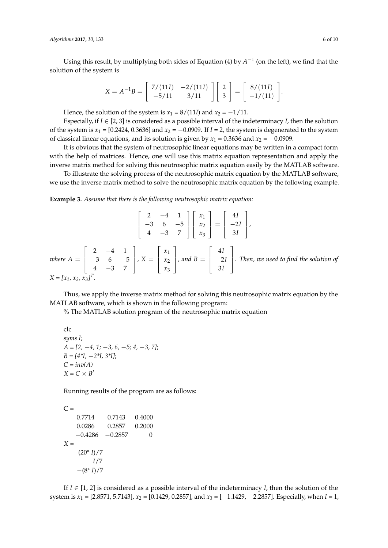Using this result, by multiplying both sides of Equation (4) by  $A^{-1}$  (on the left), we find that the solution of the system is

$$
X = A^{-1}B = \begin{bmatrix} 7/(11I) & -2/(11I) \\ -5/11 & 3/11 \end{bmatrix} \begin{bmatrix} 2 \\ 3 \end{bmatrix} = \begin{bmatrix} 8/(11I) \\ -1/(11) \end{bmatrix}.
$$

Hence, the solution of the system is  $x_1 = 8/(11)$  and  $x_2 = -1/11$ .

Especially, if  $I \in [2, 3]$  is considered as a possible interval of the indeterminacy *I*, then the solution of the system is  $x_1 = [0.2424, 0.3636]$  and  $x_2 = -0.0909$ . If  $I = 2$ , the system is degenerated to the system of classical linear equations, and its solution is given by  $x_1 = 0.3636$  and  $x_2 = -0.0909$ .

It is obvious that the system of neutrosophic linear equations may be written in a compact form with the help of matrices. Hence, one will use this matrix equation representation and apply the inverse matrix method for solving this neutrosophic matrix equation easily by the MATLAB software.

To illustrate the solving process of the neutrosophic matrix equation by the MATLAB software, we use the inverse matrix method to solve the neutrosophic matrix equation by the following example.

**Example 3.** *Assume that there is the following neutrosophic matrix equation:*

$$
\begin{bmatrix} 2 & -4 & 1 \ -3 & 6 & -5 \ 4 & -3 & 7 \end{bmatrix} \begin{bmatrix} x_1 \ x_2 \ x_3 \end{bmatrix} = \begin{bmatrix} 4I \ -2I \ 3I \end{bmatrix},
$$
  
where  $A = \begin{bmatrix} 2 & -4 & 1 \ -3 & 6 & -5 \ 4 & -3 & 7 \end{bmatrix}$ ,  $X = \begin{bmatrix} x_1 \ x_2 \ x_3 \end{bmatrix}$ , and  $B = \begin{bmatrix} 4I \ -2I \ 3I \end{bmatrix}$ . Then, we need to find the solution of  
 $X = [x_1, x_2, x_3]^T$ .

Thus, we apply the inverse matrix method for solving this neutrosophic matrix equation by the MATLAB software, which is shown in the following program:

% The MATLAB solution program of the neutrosophic matrix equation

clc *syms I*; *A = [2,* −*4, 1;* −*3, 6,* −*5; 4,* −*3, 7]*; *B = [4\*I,* −*2\*I, 3\*I]*;  $C = inv(A)$  $X = C \times B'$ 

Running results of the program are as follows:

```
C =0.7714 0.7143 0.4000
   0.0286 0.2857 0.2000
   -0.4286 -0.2857 0
X =
    (20 * I)/7I/7
   −(8* I)/7
```
If  $I \in [1, 2]$  is considered as a possible interval of the indeterminacy *I*, then the solution of the system is *x*<sub>1</sub> = [2.8571, 5.7143], *x*<sub>2</sub> = [0.1429, 0.2857], and *x*<sub>3</sub> = [−1.1429, −2.2857]. Especially, when *I* = 1,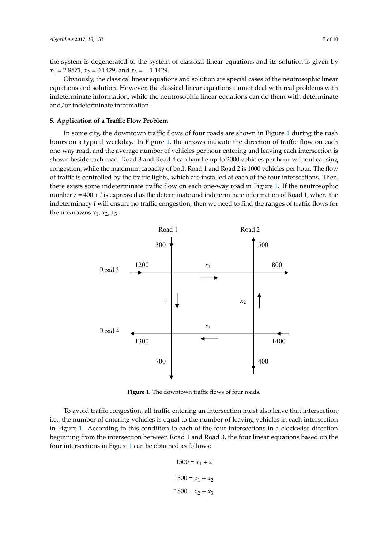the system is degenerated to the system of classical linear equations and its solution is given by  $x_1 = 2.8571$ ,  $x_2 = 0.1429$ , and  $x_3 = -1.1429$ .

Obviously, the classical linear equations and solution are special cases of the neutrosophic linear equations and solution. However, the classical linear equations cannot deal with real problems with indeterminate information, while the neutrosophic linear equations can do them with determinate and/or indeterminate information.

#### <span id="page-6-0"></span>**5. Application of a Traffic Flow Problem**

In some city, the downtown traffic flows of four roads are shown in Figure [1](#page-6-1) during the rush hours on a typical weekday. In Figure [1,](#page-6-1) the arrows indicate the direction of traffic flow on each one-way road, and the average number of vehicles per hour entering and leaving each intersection is shown beside each road. Road 3 and Road 4 can handle up to 2000 vehicles per hour without causing congestion, while the maximum capacity of both Road 1 and Road 2 is 1000 vehicles per hour. The flow of traffic is controlled by the traffic lights, which are installed at each of the four intersections. Then, there exists some indeterminate traffic flow on each one-way road in Figure [1.](#page-6-1) If the neutrosophic number z = 400 + *I* is expressed as the determinate and indeterminate information of Road 1, where the indeterminacy *I* will ensure no traffic congestion, then we need to find the ranges of traffic flows for the unknowns *x*1, *x*2, *x*3.

<span id="page-6-1"></span>

**Figure 1.** The downtown traffic flows of four roads.

To avoid traffic congestion, all traffic entering an intersection must also leave that intersection; i.e., the number of entering vehicles is equal to the number of leaving vehicles in each intersection in Figure [1.](#page-6-1) According to this condition to each of the four intersections in a clockwise direction beginning from the intersection between Road 1 and Road 3, the four linear equations based on the four intersections in Figure [1](#page-6-1) can be obtained as follows:

$$
1500 = x_1 + z
$$

$$
1300 = x_1 + x_2
$$

$$
1800 = x_2 + x_3
$$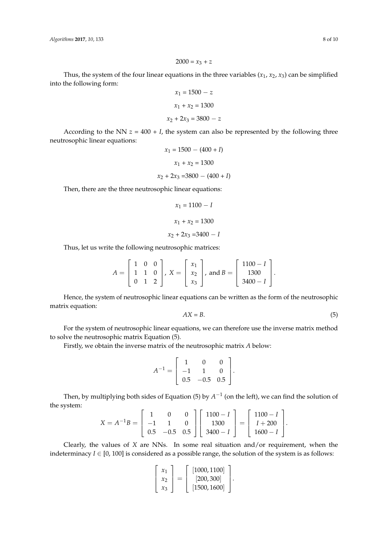$$
2000 = x_3 + z
$$

Thus, the system of the four linear equations in the three variables  $(x_1, x_2, x_3)$  can be simplified into the following form:

$$
x_1 = 1500 - z
$$

$$
x_1 + x_2 = 1300
$$

$$
x_2 + 2x_3 = 3800 - z
$$

According to the NN  $z = 400 + I$ , the system can also be represented by the following three neutrosophic linear equations:

$$
x_1 = 1500 - (400 + I)
$$

$$
x_1 + x_2 = 1300
$$

$$
x_2 + 2x_3 = 3800 - (400 + I)
$$

Then, there are the three neutrosophic linear equations:

$$
x_1 = 1100 - I
$$

$$
x_1 + x_2 = 1300
$$

$$
x_2 + 2x_3 = 3400 - I
$$

Thus, let us write the following neutrosophic matrices:

$$
A = \begin{bmatrix} 1 & 0 & 0 \\ 1 & 1 & 0 \\ 0 & 1 & 2 \end{bmatrix}, X = \begin{bmatrix} x_1 \\ x_2 \\ x_3 \end{bmatrix}, \text{ and } B = \begin{bmatrix} 1100 - I \\ 1300 \\ 3400 - I \end{bmatrix}.
$$

Hence, the system of neutrosophic linear equations can be written as the form of the neutrosophic matrix equation:

$$
AX = B.\tag{5}
$$

For the system of neutrosophic linear equations, we can therefore use the inverse matrix method to solve the neutrosophic matrix Equation (5).

Firstly, we obtain the inverse matrix of the neutrosophic matrix *A* below:

$$
A^{-1} = \begin{bmatrix} 1 & 0 & 0 \\ -1 & 1 & 0 \\ 0.5 & -0.5 & 0.5 \end{bmatrix}.
$$

Then, by multiplying both sides of Equation (5) by  $A^{-1}$  (on the left), we can find the solution of the system:  $\overline{a}$  $\overline{a}$  $\overline{a}$  $\overline{a}$ 

$$
X = A^{-1}B = \begin{bmatrix} 1 & 0 & 0 \\ -1 & 1 & 0 \\ 0.5 & -0.5 & 0.5 \end{bmatrix} \begin{bmatrix} 1100 - I \\ 1300 \\ 3400 - I \end{bmatrix} = \begin{bmatrix} 1100 - I \\ I + 200 \\ 1600 - I \end{bmatrix}.
$$

Clearly, the values of *X* are NNs. In some real situation and/or requirement, when the indeterminacy  $I \in [0, 100]$  is considered as a possible range, the solution of the system is as follows:

$$
\begin{bmatrix} x_1 \\ x_2 \\ x_3 \end{bmatrix} = \begin{bmatrix} [1000, 1100] \\ [200, 300] \\ [1500, 1600] \end{bmatrix}.
$$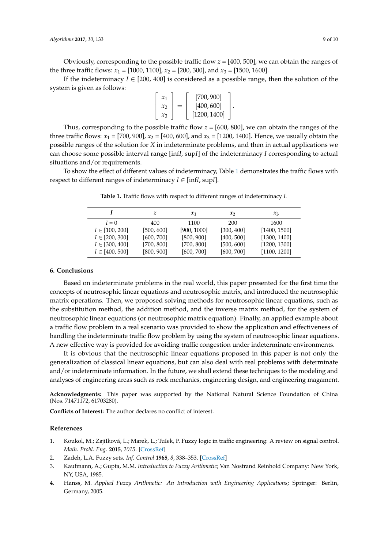Obviously, corresponding to the possible traffic flow *z* = [400, 500], we can obtain the ranges of the three traffic flows:  $x_1 = [1000, 1100]$ ,  $x_2 = [200, 300]$ , and  $x_3 = [1500, 1600]$ .

If the indeterminacy  $I \in [200, 400]$  is considered as a possible range, then the solution of the system is given as follows:

$$
\begin{bmatrix} x_1 \\ x_2 \\ x_3 \end{bmatrix} = \begin{bmatrix} [700, 900] \\ [400, 600] \\ [1200, 1400] \end{bmatrix}.
$$

Thus, corresponding to the possible traffic flow  $z = [600, 800]$ , we can obtain the ranges of the three traffic flows:  $x_1 = [700, 900]$ ,  $x_2 = [400, 600]$ , and  $x_3 = [1200, 1400]$ . Hence, we usually obtain the possible ranges of the solution for *X* in indeterminate problems, and then in actual applications we can choose some possible interval range [inf*I*, sup*I*] of the indeterminacy *I* corresponding to actual situations and/or requirements.

<span id="page-8-5"></span>To show the effect of different values of indeterminacy, Table [1](#page-8-5) demonstrates the traffic flows with respect to different ranges of indeterminacy  $I \in [infI, supI]$ .

|                    | z          | $\mathcal{X}_1$ | $\mathcal{X}$ | $x_3$        |
|--------------------|------------|-----------------|---------------|--------------|
| $I=0$              | 400        | 1100            | 200           | 1600         |
| $I \in [100, 200]$ | [500, 600] | [900, 1000]     | [300, 400]    | [1400, 1500] |
| $I \in [200, 300]$ | [600, 700] | [800, 900]      | [400, 500]    | [1300, 1400] |
| $I \in [300, 400]$ | [700, 800] | [700, 800]      | [500, 600]    | [1200, 1300] |
| $I \in [400, 500]$ | [800, 900] | [600, 700]      | [600, 700]    | [1100, 1200] |

**Table 1.** Traffic flows with respect to different ranges of indeterminacy *I.*

#### <span id="page-8-4"></span>**6. Conclusions**

Based on indeterminate problems in the real world, this paper presented for the first time the concepts of neutrosophic linear equations and neutrosophic matrix, and introduced the neutrosophic matrix operations. Then, we proposed solving methods for neutrosophic linear equations, such as the substitution method, the addition method, and the inverse matrix method, for the system of neutrosophic linear equations (or neutrosophic matrix equation). Finally, an applied example about a traffic flow problem in a real scenario was provided to show the application and effectiveness of handling the indeterminate traffic flow problem by using the system of neutrosophic linear equations. A new effective way is provided for avoiding traffic congestion under indeterminate environments.

It is obvious that the neutrosophic linear equations proposed in this paper is not only the generalization of classical linear equations, but can also deal with real problems with determinate and/or indeterminate information. In the future, we shall extend these techniques to the modeling and analyses of engineering areas such as rock mechanics, engineering design, and engineering magament.

**Acknowledgments:** This paper was supported by the National Natural Science Foundation of China (Nos. 71471172, 61703280).

**Conflicts of Interest:** The author declares no conflict of interest.

#### **References**

- <span id="page-8-0"></span>1. Koukol, M.; ZajíIková, L.; Marek, L.; TuIek, P. Fuzzy logic in traffic engineering: A review on signal control. *Math. Probl. Eng.* **2015**, *2015*. [\[CrossRef\]](http://dx.doi.org/10.1155/2015/979160)
- <span id="page-8-1"></span>2. Zadeh, L.A. Fuzzy sets. *Inf. Control* **1965**, *8*, 338–353. [\[CrossRef\]](http://dx.doi.org/10.1016/S0019-9958(65)90241-X)
- <span id="page-8-2"></span>3. Kaufmann, A.; Gupta, M.M. *Introduction to Fuzzy Arithmetic*; Van Nostrand Reinhold Company: New York, NY, USA, 1985.
- <span id="page-8-3"></span>4. Hanss, M. *Applied Fuzzy Arithmetic: An Introduction with Engineering Applications*; Springer: Berlin, Germany, 2005.